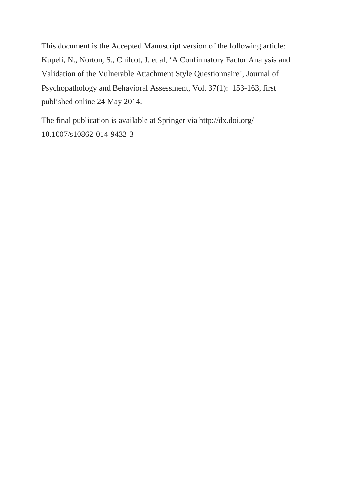This document is the Accepted Manuscript version of the following article: Kupeli, N., Norton, S., Chilcot, J. et al, 'A Confirmatory Factor Analysis and Validation of the Vulnerable Attachment Style Questionnaire', Journal of Psychopathology and Behavioral Assessment, Vol. 37(1): 153-163, first published online 24 May 2014.

The final publication is available at Springer via http://dx.doi.org/ 10.1007/s10862-014-9432-3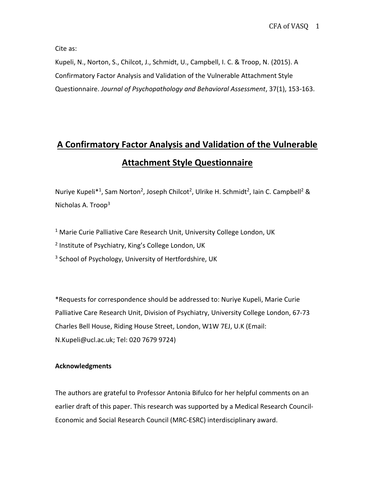Cite as:

Kupeli, N., Norton, S., Chilcot, J., Schmidt, U., Campbell, I. C. & Troop, N. (2015). A Confirmatory Factor Analysis and Validation of the Vulnerable Attachment Style Questionnaire. *Journal of Psychopathology and Behavioral Assessment*, 37(1), 153-163.

# **A Confirmatory Factor Analysis and Validation of the Vulnerable Attachment Style Questionnaire**

Nuriye Kupeli\*<sup>1</sup>, Sam Norton<sup>2</sup>, Joseph Chilcot<sup>2</sup>, Ulrike H. Schmidt<sup>2</sup>, Iain C. Campbell<sup>2</sup> & Nicholas A. Troop<sup>3</sup>

<sup>1</sup> Marie Curie Palliative Care Research Unit, University College London, UK

2 Institute of Psychiatry, King's College London, UK

<sup>3</sup> School of Psychology, University of Hertfordshire, UK

\*Requests for correspondence should be addressed to: Nuriye Kupeli, Marie Curie Palliative Care Research Unit, Division of Psychiatry, University College London, 67-73 Charles Bell House, Riding House Street, London, W1W 7EJ, U.K (Email: N.Kupeli@ucl.ac.uk; Tel: 020 7679 9724)

### **Acknowledgments**

The authors are grateful to Professor Antonia Bifulco for her helpful comments on an earlier draft of this paper. This research was supported by a Medical Research Council-Economic and Social Research Council (MRC-ESRC) interdisciplinary award.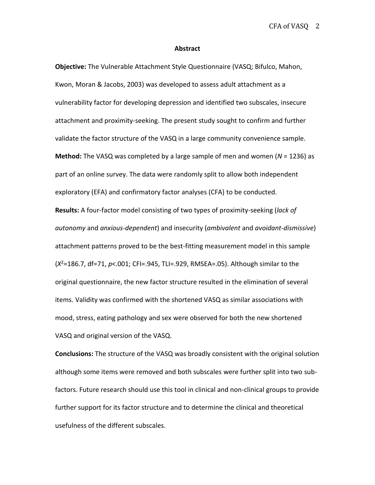#### **Abstract**

**Objective:** The Vulnerable Attachment Style Questionnaire (VASQ; Bifulco, Mahon, Kwon, Moran & Jacobs, 2003) was developed to assess adult attachment as a vulnerability factor for developing depression and identified two subscales, insecure attachment and proximity-seeking. The present study sought to confirm and further validate the factor structure of the VASQ in a large community convenience sample. **Method:** The VASQ was completed by a large sample of men and women (*N* = 1236) as part of an online survey. The data were randomly split to allow both independent exploratory (EFA) and confirmatory factor analyses (CFA) to be conducted.

**Results:** A four-factor model consisting of two types of proximity-seeking (*lack of autonomy* and *anxious-dependent*) and insecurity (*ambivalent* and *avoidant-dismissive*) attachment patterns proved to be the best-fitting measurement model in this sample (*X* <sup>2</sup>=186.7, df=71, *p*<.001; CFI=.945, TLI=.929, RMSEA=.05). Although similar to the original questionnaire, the new factor structure resulted in the elimination of several items. Validity was confirmed with the shortened VASQ as similar associations with mood, stress, eating pathology and sex were observed for both the new shortened VASQ and original version of the VASQ.

**Conclusions:** The structure of the VASQ was broadly consistent with the original solution although some items were removed and both subscales were further split into two subfactors. Future research should use this tool in clinical and non-clinical groups to provide further support for its factor structure and to determine the clinical and theoretical usefulness of the different subscales.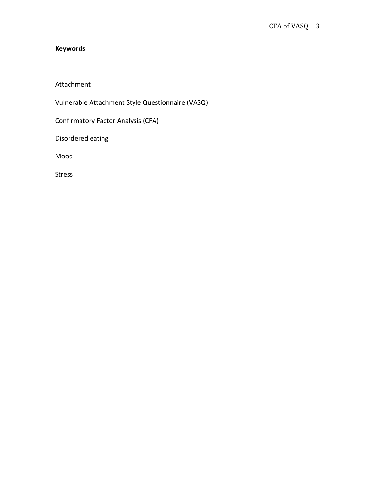## **Keywords**

Attachment

Vulnerable Attachment Style Questionnaire (VASQ)

Confirmatory Factor Analysis (CFA)

Disordered eating

Mood

Stress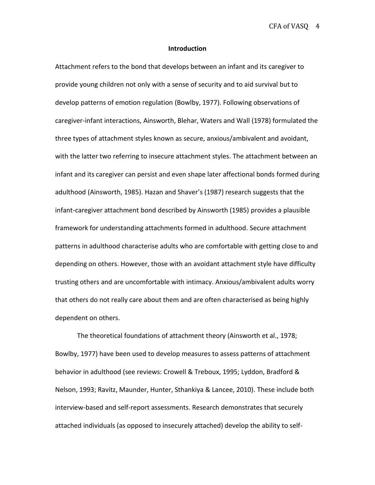CFA of VASQ 4

#### **Introduction**

Attachment refers to the bond that develops between an infant and its caregiver to provide young children not only with a sense of security and to aid survival but to develop patterns of emotion regulation (Bowlby, 1977). Following observations of caregiver-infant interactions, Ainsworth, Blehar, Waters and Wall (1978) formulated the three types of attachment styles known as secure, anxious/ambivalent and avoidant, with the latter two referring to insecure attachment styles. The attachment between an infant and its caregiver can persist and even shape later affectional bonds formed during adulthood (Ainsworth, 1985). Hazan and Shaver's (1987) research suggests that the infant-caregiver attachment bond described by Ainsworth (1985) provides a plausible framework for understanding attachments formed in adulthood. Secure attachment patterns in adulthood characterise adults who are comfortable with getting close to and depending on others. However, those with an avoidant attachment style have difficulty trusting others and are uncomfortable with intimacy. Anxious/ambivalent adults worry that others do not really care about them and are often characterised as being highly dependent on others.

The theoretical foundations of attachment theory (Ainsworth et al., 1978; Bowlby, 1977) have been used to develop measures to assess patterns of attachment behavior in adulthood (see reviews: Crowell & Treboux, 1995; Lyddon, Bradford & Nelson, 1993; Ravitz, Maunder, Hunter, Sthankiya & Lancee, 2010). These include both interview-based and self-report assessments. Research demonstrates that securely attached individuals (as opposed to insecurely attached) develop the ability to self-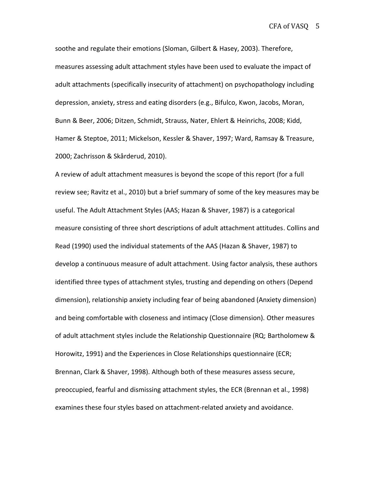CFA of VASQ 5

soothe and regulate their emotions (Sloman, Gilbert & Hasey, 2003). Therefore, measures assessing adult attachment styles have been used to evaluate the impact of adult attachments (specifically insecurity of attachment) on psychopathology including depression, anxiety, stress and eating disorders (e.g., Bifulco, Kwon, Jacobs, Moran, Bunn & Beer, 2006; Ditzen, Schmidt, Strauss, Nater, Ehlert & Heinrichs, 2008; Kidd, Hamer & Steptoe, 2011; Mickelson, Kessler & Shaver, 1997; Ward, Ramsay & Treasure, 2000; Zachrisson & Skårderud, 2010).

A review of adult attachment measures is beyond the scope of this report (for a full review see; Ravitz et al., 2010) but a brief summary of some of the key measures may be useful. The Adult Attachment Styles (AAS; Hazan & Shaver, 1987) is a categorical measure consisting of three short descriptions of adult attachment attitudes. Collins and Read (1990) used the individual statements of the AAS (Hazan & Shaver, 1987) to develop a continuous measure of adult attachment. Using factor analysis, these authors identified three types of attachment styles, trusting and depending on others (Depend dimension), relationship anxiety including fear of being abandoned (Anxiety dimension) and being comfortable with closeness and intimacy (Close dimension). Other measures of adult attachment styles include the Relationship Questionnaire (RQ; Bartholomew & Horowitz, 1991) and the Experiences in Close Relationships questionnaire (ECR; Brennan, Clark & Shaver, 1998). Although both of these measures assess secure, preoccupied, fearful and dismissing attachment styles, the ECR (Brennan et al., 1998) examines these four styles based on attachment-related anxiety and avoidance.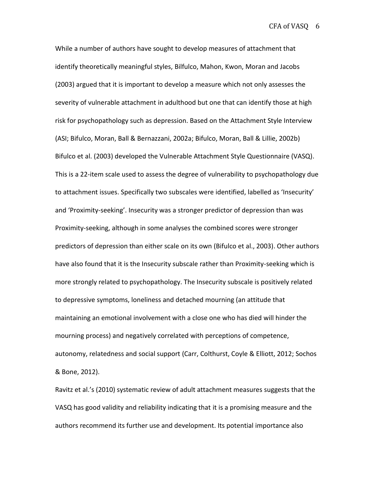While a number of authors have sought to develop measures of attachment that identify theoretically meaningful styles, Bilfulco, Mahon, Kwon, Moran and Jacobs (2003) argued that it is important to develop a measure which not only assesses the severity of vulnerable attachment in adulthood but one that can identify those at high risk for psychopathology such as depression. Based on the Attachment Style Interview (ASI; Bifulco, Moran, Ball & Bernazzani, 2002a; Bifulco, Moran, Ball & Lillie, 2002b) Bifulco et al. (2003) developed the Vulnerable Attachment Style Questionnaire (VASQ). This is a 22-item scale used to assess the degree of vulnerability to psychopathology due to attachment issues. Specifically two subscales were identified, labelled as 'Insecurity' and 'Proximity-seeking'. Insecurity was a stronger predictor of depression than was Proximity-seeking, although in some analyses the combined scores were stronger predictors of depression than either scale on its own (Bifulco et al., 2003). Other authors have also found that it is the Insecurity subscale rather than Proximity-seeking which is more strongly related to psychopathology. The Insecurity subscale is positively related to depressive symptoms, loneliness and detached mourning (an attitude that maintaining an emotional involvement with a close one who has died will hinder the mourning process) and negatively correlated with perceptions of competence, autonomy, relatedness and social support (Carr, Colthurst, Coyle & Elliott, 2012; Sochos & Bone, 2012).

Ravitz et al.'s (2010) systematic review of adult attachment measures suggests that the VASQ has good validity and reliability indicating that it is a promising measure and the authors recommend its further use and development. Its potential importance also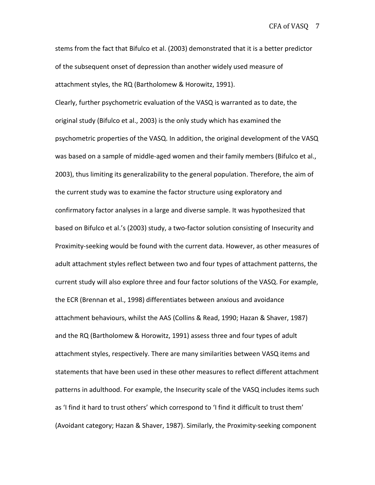CFA of VASQ 7

stems from the fact that Bifulco et al. (2003) demonstrated that it is a better predictor of the subsequent onset of depression than another widely used measure of attachment styles, the RQ (Bartholomew & Horowitz, 1991).

Clearly, further psychometric evaluation of the VASQ is warranted as to date, the original study (Bifulco et al., 2003) is the only study which has examined the psychometric properties of the VASQ. In addition, the original development of the VASQ was based on a sample of middle-aged women and their family members (Bifulco et al., 2003), thus limiting its generalizability to the general population. Therefore, the aim of the current study was to examine the factor structure using exploratory and confirmatory factor analyses in a large and diverse sample. It was hypothesized that based on Bifulco et al.'s (2003) study, a two-factor solution consisting of Insecurity and Proximity-seeking would be found with the current data. However, as other measures of adult attachment styles reflect between two and four types of attachment patterns, the current study will also explore three and four factor solutions of the VASQ. For example, the ECR (Brennan et al., 1998) differentiates between anxious and avoidance attachment behaviours, whilst the AAS (Collins & Read, 1990; Hazan & Shaver, 1987) and the RQ (Bartholomew & Horowitz, 1991) assess three and four types of adult attachment styles, respectively. There are many similarities between VASQ items and statements that have been used in these other measures to reflect different attachment patterns in adulthood. For example, the Insecurity scale of the VASQ includes items such as 'I find it hard to trust others' which correspond to 'I find it difficult to trust them' (Avoidant category; Hazan & Shaver, 1987). Similarly, the Proximity-seeking component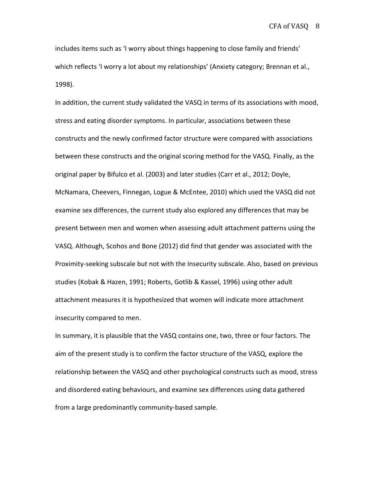includes items such as 'I worry about things happening to close family and friends' which reflects 'I worry a lot about my relationships' (Anxiety category; Brennan et al., 1998).

In addition, the current study validated the VASQ in terms of its associations with mood, stress and eating disorder symptoms. In particular, associations between these constructs and the newly confirmed factor structure were compared with associations between these constructs and the original scoring method for the VASQ. Finally, as the original paper by Bifulco et al. (2003) and later studies (Carr et al., 2012; Doyle, McNamara, Cheevers, Finnegan, Logue & McEntee, 2010) which used the VASQ did not examine sex differences, the current study also explored any differences that may be present between men and women when assessing adult attachment patterns using the VASQ. Although, Scohos and Bone (2012) did find that gender was associated with the Proximity-seeking subscale but not with the Insecurity subscale. Also, based on previous studies (Kobak & Hazen, 1991; Roberts, Gotlib & Kassel, 1996) using other adult attachment measures it is hypothesized that women will indicate more attachment insecurity compared to men.

In summary, it is plausible that the VASQ contains one, two, three or four factors. The aim of the present study is to confirm the factor structure of the VASQ, explore the relationship between the VASQ and other psychological constructs such as mood, stress and disordered eating behaviours, and examine sex differences using data gathered from a large predominantly community-based sample.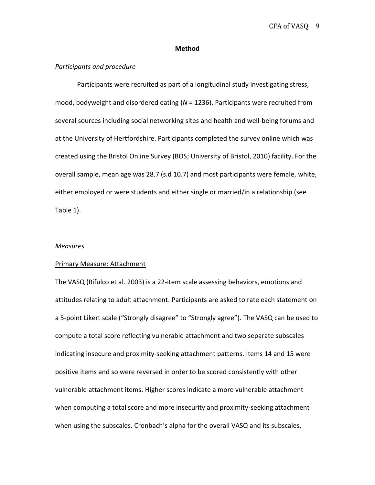#### **Method**

#### *Participants and procedure*

Participants were recruited as part of a longitudinal study investigating stress, mood, bodyweight and disordered eating (*N* = 1236). Participants were recruited from several sources including social networking sites and health and well-being forums and at the University of Hertfordshire. Participants completed the survey online which was created using the Bristol Online Survey (BOS; University of Bristol, 2010) facility. For the overall sample, mean age was 28.7 (s.d 10.7) and most participants were female, white, either employed or were students and either single or married/in a relationship (see Table 1).

#### *Measures*

#### Primary Measure: Attachment

The VASQ (Bifulco et al. 2003) is a 22-item scale assessing behaviors, emotions and attitudes relating to adult attachment. Participants are asked to rate each statement on a 5-point Likert scale ("Strongly disagree" to "Strongly agree"). The VASQ can be used to compute a total score reflecting vulnerable attachment and two separate subscales indicating insecure and proximity-seeking attachment patterns. Items 14 and 15 were positive items and so were reversed in order to be scored consistently with other vulnerable attachment items. Higher scores indicate a more vulnerable attachment when computing a total score and more insecurity and proximity-seeking attachment when using the subscales. Cronbach's alpha for the overall VASQ and its subscales,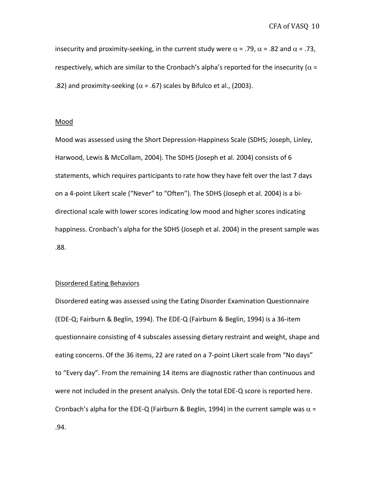insecurity and proximity-seeking, in the current study were  $\alpha$  = .79,  $\alpha$  = .82 and  $\alpha$  = .73, respectively, which are similar to the Cronbach's alpha's reported for the insecurity ( $\alpha$  = .82) and proximity-seeking ( $\alpha$  = .67) scales by Bifulco et al., (2003).

#### Mood

Mood was assessed using the Short Depression-Happiness Scale (SDHS; Joseph, Linley, Harwood, Lewis & McCollam, 2004). The SDHS (Joseph et al. 2004) consists of 6 statements, which requires participants to rate how they have felt over the last 7 days on a 4-point Likert scale ("Never" to "Often"). The SDHS (Joseph et al. 2004) is a bidirectional scale with lower scores indicating low mood and higher scores indicating happiness. Cronbach's alpha for the SDHS (Joseph et al. 2004) in the present sample was .88.

#### Disordered Eating Behaviors

Disordered eating was assessed using the Eating Disorder Examination Questionnaire (EDE-Q; Fairburn & Beglin, 1994). The EDE-Q (Fairburn & Beglin, 1994) is a 36-item questionnaire consisting of 4 subscales assessing dietary restraint and weight, shape and eating concerns. Of the 36 items, 22 are rated on a 7-point Likert scale from "No days" to "Every day". From the remaining 14 items are diagnostic rather than continuous and were not included in the present analysis. Only the total EDE-Q score is reported here. Cronbach's alpha for the EDE-Q (Fairburn & Beglin, 1994) in the current sample was  $\alpha$  = .94.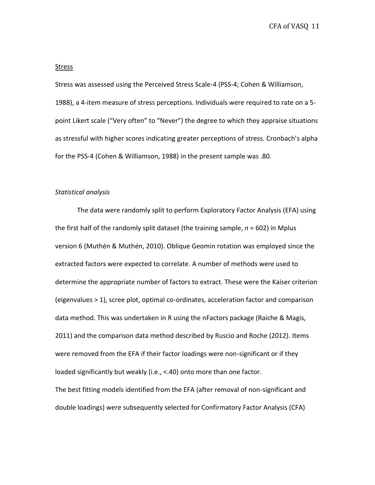CFA of VASQ 11

#### Stress

Stress was assessed using the Perceived Stress Scale-4 (PSS-4; Cohen & Williamson, 1988), a 4-item measure of stress perceptions. Individuals were required to rate on a 5 point Likert scale ("Very often" to "Never") the degree to which they appraise situations as stressful with higher scores indicating greater perceptions of stress. Cronbach's alpha for the PSS-4 (Cohen & Williamson, 1988) in the present sample was .80.

#### *Statistical analysis*

The data were randomly split to perform Exploratory Factor Analysis (EFA) using the first half of the randomly split dataset (the training sample, *n* = 602) in Mplus version 6 (Muthén & Muthén, 2010). Oblique Geomin rotation was employed since the extracted factors were expected to correlate. A number of methods were used to determine the appropriate number of factors to extract. These were the Kaiser criterion (eigenvalues > 1), scree plot, optimal co-ordinates, acceleration factor and comparison data method. This was undertaken in R using the nFactors package (Raiche & Magis, 2011) and the comparison data method described by Ruscio and Roche (2012). Items were removed from the EFA if their factor loadings were non-significant or if they loaded significantly but weakly (i.e., <.40) onto more than one factor. The best fitting models identified from the EFA (after removal of non-significant and double loadings) were subsequently selected for Confirmatory Factor Analysis (CFA)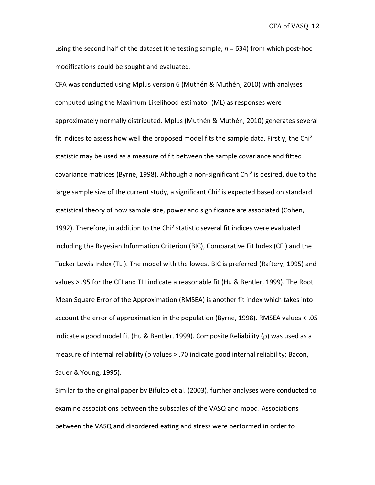CFA of VASQ 12

using the second half of the dataset (the testing sample, *n* = 634) from which post-hoc modifications could be sought and evaluated.

CFA was conducted using Mplus version 6 (Muthén & Muthén, 2010) with analyses computed using the Maximum Likelihood estimator (ML) as responses were approximately normally distributed. Mplus (Muthén & Muthén, 2010) generates several fit indices to assess how well the proposed model fits the sample data. Firstly, the Chi<sup>2</sup> statistic may be used as a measure of fit between the sample covariance and fitted covariance matrices (Byrne, 1998). Although a non-significant Chi<sup>2</sup> is desired, due to the large sample size of the current study, a significant Chi<sup>2</sup> is expected based on standard statistical theory of how sample size, power and significance are associated (Cohen, 1992). Therefore, in addition to the Chi<sup>2</sup> statistic several fit indices were evaluated including the Bayesian Information Criterion (BIC), Comparative Fit Index (CFI) and the Tucker Lewis Index (TLI). The model with the lowest BIC is preferred (Raftery, 1995) and values > .95 for the CFI and TLI indicate a reasonable fit (Hu & Bentler, 1999). The Root Mean Square Error of the Approximation (RMSEA) is another fit index which takes into account the error of approximation in the population (Byrne, 1998). RMSEA values < .05 indicate a good model fit (Hu & Bentler, 1999). Composite Reliability ( $\rho$ ) was used as a measure of internal reliability ( $\rho$  values  $>$  .70 indicate good internal reliability; Bacon, Sauer & Young, 1995).

Similar to the original paper by Bifulco et al. (2003), further analyses were conducted to examine associations between the subscales of the VASQ and mood. Associations between the VASQ and disordered eating and stress were performed in order to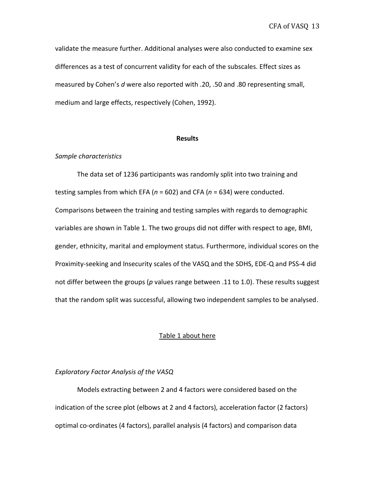validate the measure further. Additional analyses were also conducted to examine sex differences as a test of concurrent validity for each of the subscales. Effect sizes as measured by Cohen's *d* were also reported with .20, .50 and .80 representing small, medium and large effects, respectively (Cohen, 1992).

#### **Results**

#### *Sample characteristics*

The data set of 1236 participants was randomly split into two training and testing samples from which EFA (*n* = 602) and CFA (*n* = 634) were conducted. Comparisons between the training and testing samples with regards to demographic variables are shown in Table 1. The two groups did not differ with respect to age, BMI, gender, ethnicity, marital and employment status. Furthermore, individual scores on the Proximity-seeking and Insecurity scales of the VASQ and the SDHS, EDE-Q and PSS-4 did not differ between the groups (*p* values range between .11 to 1.0). These results suggest that the random split was successful, allowing two independent samples to be analysed.

#### Table 1 about here

#### *Exploratory Factor Analysis of the VASQ*

Models extracting between 2 and 4 factors were considered based on the indication of the scree plot (elbows at 2 and 4 factors), acceleration factor (2 factors) optimal co-ordinates (4 factors), parallel analysis (4 factors) and comparison data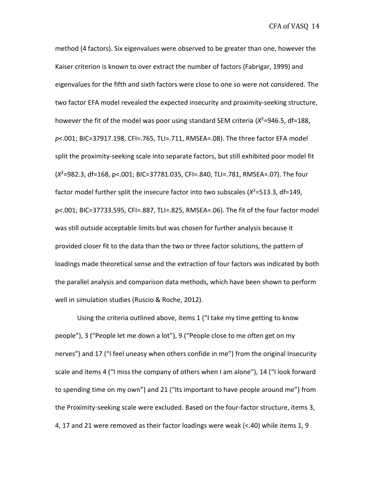method (4 factors). Six eigenvalues were observed to be greater than one, however the Kaiser criterion is known to over extract the number of factors (Fabrigar, 1999) and eigenvalues for the fifth and sixth factors were close to one so were not considered. The two factor EFA model revealed the expected insecurity and proximity-seeking structure, however the fit of the model was poor using standard SEM criteria (*X* <sup>2</sup>=946.5, df=188, *p*<.001; BIC=37917.198, CFI=.765, TLI=.711, RMSEA=.08). The three factor EFA model split the proximity-seeking scale into separate factors, but still exhibited poor model fit (*X* <sup>2</sup>=982.3, df=168, p<.001; BIC=37781.035, CFI=.840, TLI=.781, RMSEA=.07). The four factor model further split the insecure factor into two subscales (*X* <sup>2</sup>=513.3, df=149, p<.001; BIC=37733.595, CFI=.887, TLI=.825, RMSEA=.06). The fit of the four factor model was still outside acceptable limits but was chosen for further analysis because it provided closer fit to the data than the two or three factor solutions, the pattern of loadings made theoretical sense and the extraction of four factors was indicated by both the parallel analysis and comparison data methods, which have been shown to perform well in simulation studies (Ruscio & Roche, 2012).

Using the criteria outlined above, items 1 ("I take my time getting to know people"), 3 ("People let me down a lot"), 9 ("People close to me often get on my nerves") and 17 ("I feel uneasy when others confide in me") from the original Insecurity scale and items 4 ("I miss the company of others when I am alone"), 14 ("I look forward to spending time on my own") and 21 ("Its important to have people around me") from the Proximity-seeking scale were excluded. Based on the four-factor structure, items 3, 4, 17 and 21 were removed as their factor loadings were weak (<.40) while items 1, 9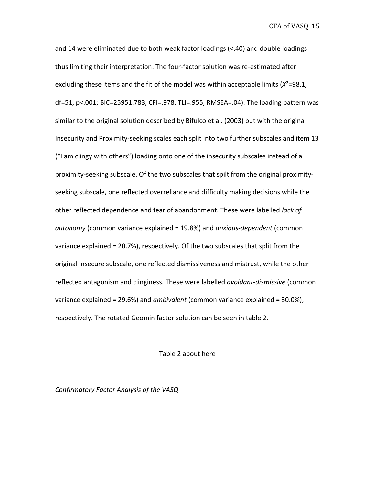and 14 were eliminated due to both weak factor loadings (<.40) and double loadings thus limiting their interpretation. The four-factor solution was re-estimated after excluding these items and the fit of the model was within acceptable limits (*X* <sup>2</sup>=98.1, df=51, p<.001; BIC=25951.783, CFI=.978, TLI=.955, RMSEA=.04). The loading pattern was similar to the original solution described by Bifulco et al. (2003) but with the original Insecurity and Proximity-seeking scales each split into two further subscales and item 13 ("I am clingy with others") loading onto one of the insecurity subscales instead of a proximity-seeking subscale. Of the two subscales that spilt from the original proximityseeking subscale, one reflected overreliance and difficulty making decisions while the other reflected dependence and fear of abandonment. These were labelled *lack of autonomy* (common variance explained = 19.8%) and *anxious-dependent* (common variance explained = 20.7%), respectively. Of the two subscales that split from the original insecure subscale, one reflected dismissiveness and mistrust, while the other reflected antagonism and clinginess. These were labelled *avoidant-dismissive* (common variance explained = 29.6%) and *ambivalent* (common variance explained = 30.0%), respectively. The rotated Geomin factor solution can be seen in table 2.

#### Table 2 about here

*Confirmatory Factor Analysis of the VASQ*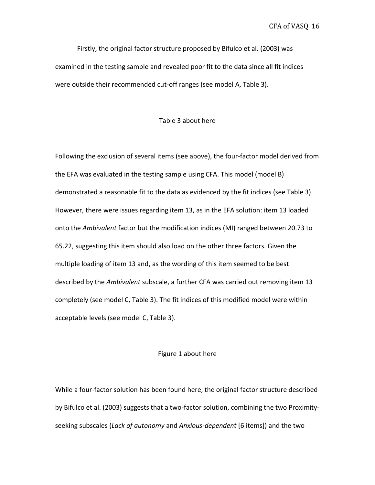Firstly, the original factor structure proposed by Bifulco et al. (2003) was examined in the testing sample and revealed poor fit to the data since all fit indices were outside their recommended cut-off ranges (see model A, Table 3).

#### Table 3 about here

Following the exclusion of several items (see above), the four-factor model derived from the EFA was evaluated in the testing sample using CFA. This model (model B) demonstrated a reasonable fit to the data as evidenced by the fit indices (see Table 3). However, there were issues regarding item 13, as in the EFA solution: item 13 loaded onto the *Ambivalent* factor but the modification indices (MI) ranged between 20.73 to 65.22, suggesting this item should also load on the other three factors. Given the multiple loading of item 13 and, as the wording of this item seemed to be best described by the *Ambivalent* subscale, a further CFA was carried out removing item 13 completely (see model C, Table 3). The fit indices of this modified model were within acceptable levels (see model C, Table 3).

#### Figure 1 about here

While a four-factor solution has been found here, the original factor structure described by Bifulco et al. (2003) suggests that a two-factor solution, combining the two Proximityseeking subscales (*Lack of autonomy* and *Anxious-dependent* [6 items]) and the two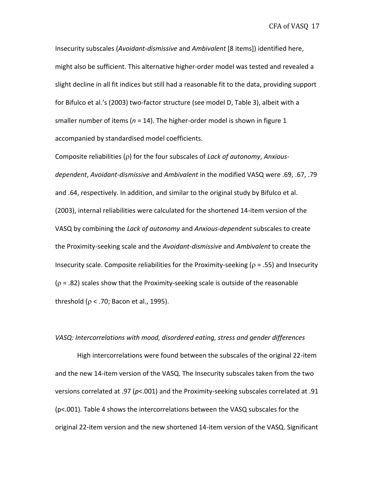Insecurity subscales (*Avoidant-dismissive* and *Ambivalent* [8 items]) identified here, might also be sufficient. This alternative higher-order model was tested and revealed a slight decline in all fit indices but still had a reasonable fit to the data, providing support for Bifulco et al.'s (2003) two-factor structure (see model D, Table 3), albeit with a smaller number of items (*n* = 14). The higher-order model is shown in figure 1 accompanied by standardised model coefficients.

Composite reliabilities (p) for the four subscales of *Lack of autonomy*, *Anxiousdependent*, *Avoidant-dismissive* and *Ambivalent* in the modified VASQ were .69, .67, .79 and .64, respectively. In addition, and similar to the original study by Bifulco et al. (2003), internal reliabilities were calculated for the shortened 14-item version of the VASQ by combining the *Lack of autonomy* and *Anxious-dependent* subscales to create the Proximity-seeking scale and the *Avoidant-dismissive* and *Ambivalent* to create the Insecurity scale. Composite reliabilities for the Proximity-seeking ( $\rho$  = .55) and Insecurity  $(p = .82)$  scales show that the Proximity-seeking scale is outside of the reasonable threshold ( $\rho$  < .70; Bacon et al., 1995).

#### *VASQ: Intercorrelations with mood, disordered eating, stress and gender differences*

High intercorrelations were found between the subscales of the original 22-item and the new 14-item version of the VASQ. The Insecurity subscales taken from the two versions correlated at .97 (*p*<.001) and the Proximity-seeking subscales correlated at .91 (p<.001). Table 4 shows the intercorrelations between the VASQ subscales for the original 22-item version and the new shortened 14-item version of the VASQ. Significant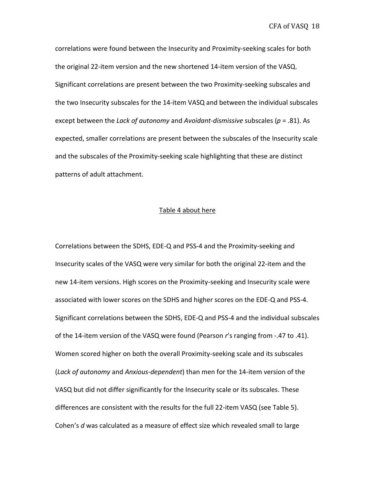correlations were found between the Insecurity and Proximity-seeking scales for both the original 22-item version and the new shortened 14-item version of the VASQ. Significant correlations are present between the two Proximity-seeking subscales and the two Insecurity subscales for the 14-item VASQ and between the individual subscales except between the *Lack of autonomy* and *Avoidant-dismissive* subscales (*p* = .81). As expected, smaller correlations are present between the subscales of the Insecurity scale and the subscales of the Proximity-seeking scale highlighting that these are distinct patterns of adult attachment.

#### Table 4 about here

Correlations between the SDHS, EDE-Q and PSS-4 and the Proximity-seeking and Insecurity scales of the VASQ were very similar for both the original 22-item and the new 14-item versions. High scores on the Proximity-seeking and Insecurity scale were associated with lower scores on the SDHS and higher scores on the EDE-Q and PSS-4. Significant correlations between the SDHS, EDE-Q and PSS-4 and the individual subscales of the 14-item version of the VASQ were found (Pearson *r*'s ranging from -.47 to .41). Women scored higher on both the overall Proximity-seeking scale and its subscales (*Lack of autonomy* and *Anxious-dependent*) than men for the 14-item version of the VASQ but did not differ significantly for the Insecurity scale or its subscales. These differences are consistent with the results for the full 22-item VASQ (see Table 5). Cohen's *d* was calculated as a measure of effect size which revealed small to large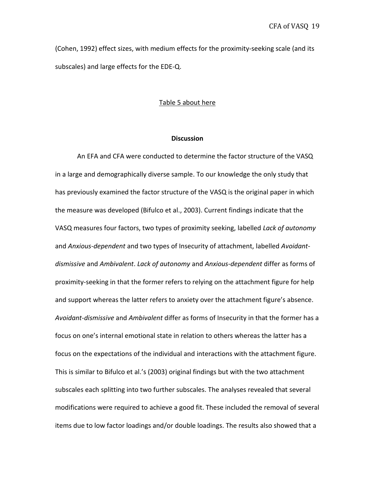(Cohen, 1992) effect sizes, with medium effects for the proximity-seeking scale (and its subscales) and large effects for the EDE-Q.

#### Table 5 about here

#### **Discussion**

An EFA and CFA were conducted to determine the factor structure of the VASQ in a large and demographically diverse sample. To our knowledge the only study that has previously examined the factor structure of the VASQ is the original paper in which the measure was developed (Bifulco et al., 2003). Current findings indicate that the VASQ measures four factors, two types of proximity seeking, labelled *Lack of autonomy* and *Anxious-dependent* and two types of Insecurity of attachment, labelled *Avoidantdismissive* and *Ambivalent*. *Lack of autonomy* and *Anxious-dependent* differ as forms of proximity-seeking in that the former refers to relying on the attachment figure for help and support whereas the latter refers to anxiety over the attachment figure's absence. *Avoidant-dismissive* and *Ambivalent* differ as forms of Insecurity in that the former has a focus on one's internal emotional state in relation to others whereas the latter has a focus on the expectations of the individual and interactions with the attachment figure. This is similar to Bifulco et al.'s (2003) original findings but with the two attachment subscales each splitting into two further subscales. The analyses revealed that several modifications were required to achieve a good fit. These included the removal of several items due to low factor loadings and/or double loadings. The results also showed that a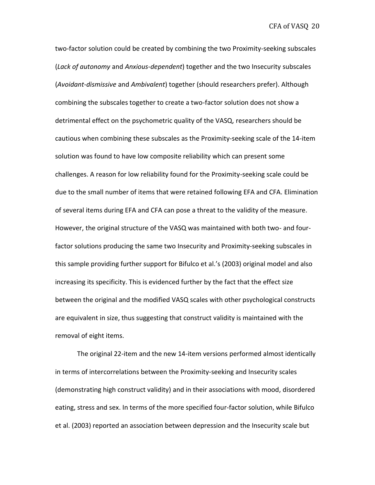CFA of VASQ 20

two-factor solution could be created by combining the two Proximity-seeking subscales (*Lack of autonomy* and *Anxious-dependent*) together and the two Insecurity subscales (*Avoidant-dismissive* and *Ambivalent*) together (should researchers prefer). Although combining the subscales together to create a two-factor solution does not show a detrimental effect on the psychometric quality of the VASQ, researchers should be cautious when combining these subscales as the Proximity-seeking scale of the 14-item solution was found to have low composite reliability which can present some challenges. A reason for low reliability found for the Proximity-seeking scale could be due to the small number of items that were retained following EFA and CFA. Elimination of several items during EFA and CFA can pose a threat to the validity of the measure. However, the original structure of the VASQ was maintained with both two- and fourfactor solutions producing the same two Insecurity and Proximity-seeking subscales in this sample providing further support for Bifulco et al.'s (2003) original model and also increasing its specificity. This is evidenced further by the fact that the effect size between the original and the modified VASQ scales with other psychological constructs are equivalent in size, thus suggesting that construct validity is maintained with the removal of eight items.

The original 22-item and the new 14-item versions performed almost identically in terms of intercorrelations between the Proximity-seeking and Insecurity scales (demonstrating high construct validity) and in their associations with mood, disordered eating, stress and sex. In terms of the more specified four-factor solution, while Bifulco et al. (2003) reported an association between depression and the Insecurity scale but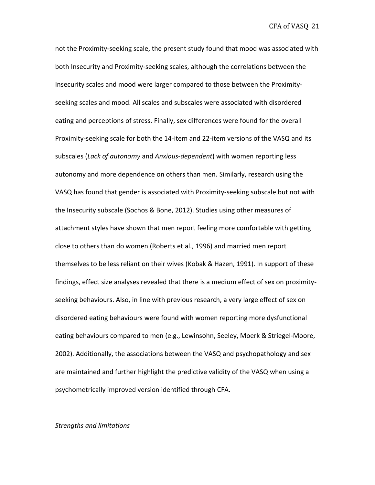not the Proximity-seeking scale, the present study found that mood was associated with both Insecurity and Proximity-seeking scales, although the correlations between the Insecurity scales and mood were larger compared to those between the Proximityseeking scales and mood. All scales and subscales were associated with disordered eating and perceptions of stress. Finally, sex differences were found for the overall Proximity-seeking scale for both the 14-item and 22-item versions of the VASQ and its subscales (*Lack of autonomy* and *Anxious-dependent*) with women reporting less autonomy and more dependence on others than men. Similarly, research using the VASQ has found that gender is associated with Proximity-seeking subscale but not with the Insecurity subscale (Sochos & Bone, 2012). Studies using other measures of attachment styles have shown that men report feeling more comfortable with getting close to others than do women (Roberts et al., 1996) and married men report themselves to be less reliant on their wives (Kobak & Hazen, 1991). In support of these findings, effect size analyses revealed that there is a medium effect of sex on proximityseeking behaviours. Also, in line with previous research, a very large effect of sex on disordered eating behaviours were found with women reporting more dysfunctional eating behaviours compared to men (e.g., Lewinsohn, Seeley, Moerk & Striegel-Moore, 2002). Additionally, the associations between the VASQ and psychopathology and sex are maintained and further highlight the predictive validity of the VASQ when using a psychometrically improved version identified through CFA.

#### *Strengths and limitations*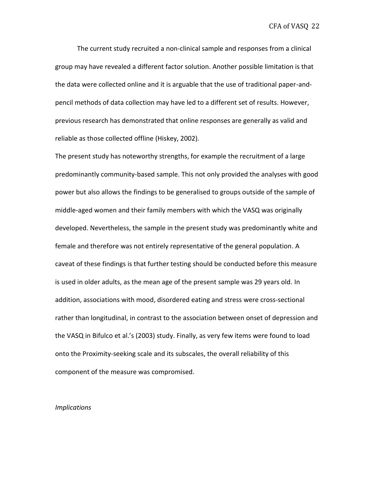The current study recruited a non-clinical sample and responses from a clinical group may have revealed a different factor solution. Another possible limitation is that the data were collected online and it is arguable that the use of traditional paper-andpencil methods of data collection may have led to a different set of results. However, previous research has demonstrated that online responses are generally as valid and reliable as those collected offline (Hiskey, 2002).

The present study has noteworthy strengths, for example the recruitment of a large predominantly community-based sample. This not only provided the analyses with good power but also allows the findings to be generalised to groups outside of the sample of middle-aged women and their family members with which the VASQ was originally developed. Nevertheless, the sample in the present study was predominantly white and female and therefore was not entirely representative of the general population. A caveat of these findings is that further testing should be conducted before this measure is used in older adults, as the mean age of the present sample was 29 years old. In addition, associations with mood, disordered eating and stress were cross-sectional rather than longitudinal, in contrast to the association between onset of depression and the VASQ in Bifulco et al.'s (2003) study. Finally, as very few items were found to load onto the Proximity-seeking scale and its subscales, the overall reliability of this component of the measure was compromised.

#### *Implications*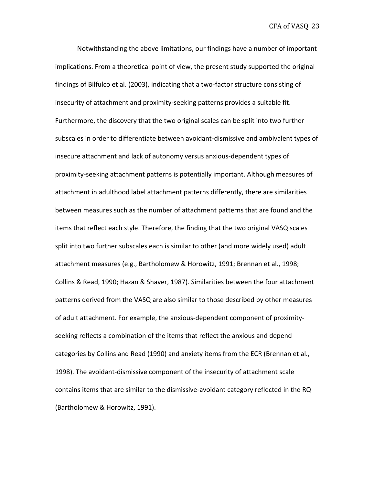Notwithstanding the above limitations, our findings have a number of important implications. From a theoretical point of view, the present study supported the original findings of Bilfulco et al. (2003), indicating that a two-factor structure consisting of insecurity of attachment and proximity-seeking patterns provides a suitable fit. Furthermore, the discovery that the two original scales can be split into two further subscales in order to differentiate between avoidant-dismissive and ambivalent types of insecure attachment and lack of autonomy versus anxious-dependent types of proximity-seeking attachment patterns is potentially important. Although measures of attachment in adulthood label attachment patterns differently, there are similarities between measures such as the number of attachment patterns that are found and the items that reflect each style. Therefore, the finding that the two original VASQ scales split into two further subscales each is similar to other (and more widely used) adult attachment measures (e.g., Bartholomew & Horowitz, 1991; Brennan et al., 1998; Collins & Read, 1990; Hazan & Shaver, 1987). Similarities between the four attachment patterns derived from the VASQ are also similar to those described by other measures of adult attachment. For example, the anxious-dependent component of proximityseeking reflects a combination of the items that reflect the anxious and depend categories by Collins and Read (1990) and anxiety items from the ECR (Brennan et al., 1998). The avoidant-dismissive component of the insecurity of attachment scale contains items that are similar to the dismissive-avoidant category reflected in the RQ (Bartholomew & Horowitz, 1991).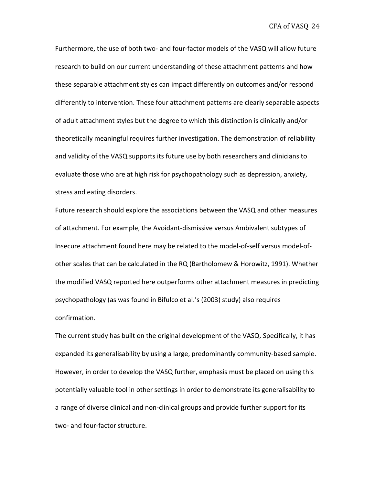Furthermore, the use of both two- and four-factor models of the VASQ will allow future research to build on our current understanding of these attachment patterns and how these separable attachment styles can impact differently on outcomes and/or respond differently to intervention. These four attachment patterns are clearly separable aspects of adult attachment styles but the degree to which this distinction is clinically and/or theoretically meaningful requires further investigation. The demonstration of reliability and validity of the VASQ supports its future use by both researchers and clinicians to evaluate those who are at high risk for psychopathology such as depression, anxiety, stress and eating disorders.

Future research should explore the associations between the VASQ and other measures of attachment. For example, the Avoidant-dismissive versus Ambivalent subtypes of Insecure attachment found here may be related to the model-of-self versus model-ofother scales that can be calculated in the RQ (Bartholomew & Horowitz, 1991). Whether the modified VASQ reported here outperforms other attachment measures in predicting psychopathology (as was found in Bifulco et al.'s (2003) study) also requires confirmation.

The current study has built on the original development of the VASQ. Specifically, it has expanded its generalisability by using a large, predominantly community-based sample. However, in order to develop the VASQ further, emphasis must be placed on using this potentially valuable tool in other settings in order to demonstrate its generalisability to a range of diverse clinical and non-clinical groups and provide further support for its two- and four-factor structure.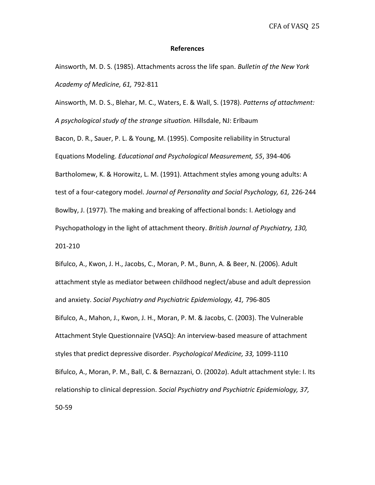#### **References**

Ainsworth, M. D. S. (1985). Attachments across the life span. *Bulletin of the New York Academy of Medicine, 61,* 792-811

Ainsworth, M. D. S., Blehar, M. C., Waters, E. & Wall, S. (1978). *Patterns of attachment: A psychological study of the strange situation.* Hillsdale, NJ: Erlbaum

Bacon, D. R., Sauer, P. L. & Young, M. (1995). Composite reliability in Structural Equations Modeling. *Educational and Psychological Measurement, 55*, 394-406 Bartholomew, K. & Horowitz, L. M. (1991). Attachment styles among young adults: A test of a four-category model. *Journal of Personality and Social Psychology, 61,* 226-244 Bowlby, J. (1977). The making and breaking of affectional bonds: I. Aetiology and Psychopathology in the light of attachment theory. *British Journal of Psychiatry, 130,* 201-210

Bifulco, A., Kwon, J. H., Jacobs, C., Moran, P. M., Bunn, A. & Beer, N. (2006). Adult attachment style as mediator between childhood neglect/abuse and adult depression and anxiety. *Social Psychiatry and Psychiatric Epidemiology, 41,* 796-805 Bifulco, A., Mahon, J., Kwon, J. H., Moran, P. M. & Jacobs, C. (2003). The Vulnerable Attachment Style Questionnaire (VASQ): An interview-based measure of attachment styles that predict depressive disorder. *Psychological Medicine, 33,* 1099-1110 Bifulco, A., Moran, P. M., Ball, C. & Bernazzani, O. (2002*a*). Adult attachment style: I. Its relationship to clinical depression. *Social Psychiatry and Psychiatric Epidemiology, 37,* 50-59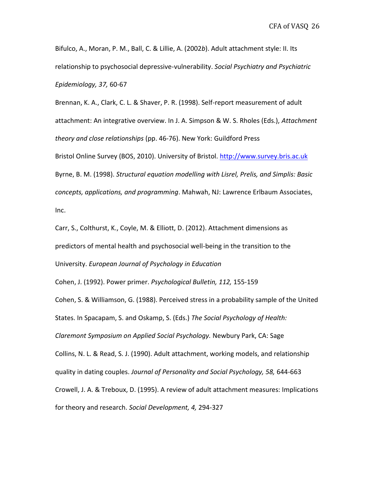Bifulco, A., Moran, P. M., Ball, C. & Lillie, A. (2002*b*). Adult attachment style: II. Its relationship to psychosocial depressive-vulnerability. *Social Psychiatry and Psychiatric Epidemiology, 37,* 60-67

Brennan, K. A., Clark, C. L. & Shaver, P. R. (1998). Self-report measurement of adult attachment: An integrative overview. In J. A. Simpson & W. S. Rholes (Eds.), *Attachment theory and close relationships* (pp. 46-76). New York: Guildford Press Bristol Online Survey (BOS, 2010). University of Bristol. [http://www.survey.bris.ac.uk](http://www.survey.bris.ac.uk/) Byrne, B. M. (1998). *Structural equation modelling with Lisrel, Prelis, and Simplis: Basic concepts, applications, and programming*. Mahwah, NJ: Lawrence Erlbaum Associates, Inc.

Carr, S., Colthurst, K., Coyle, M. & Elliott, D. (2012). Attachment dimensions as predictors of mental health and psychosocial well-being in the transition to the University. *European Journal of Psychology in Education*

Cohen, J. (1992). Power primer. *Psychological Bulletin, 112,* 155-159

Cohen, S. & Williamson, G. (1988). Perceived stress in a probability sample of the United States. In Spacapam, S. and Oskamp, S. (Eds.) *The Social Psychology of Health: Claremont Symposium on Applied Social Psychology.* Newbury Park, CA: Sage Collins, N. L. & Read, S. J. (1990). Adult attachment, working models, and relationship quality in dating couples. *Journal of Personality and Social Psychology, 58,* 644-663 Crowell, J. A. & Treboux, D. (1995). A review of adult attachment measures: Implications for theory and research. *Social Development, 4,* 294-327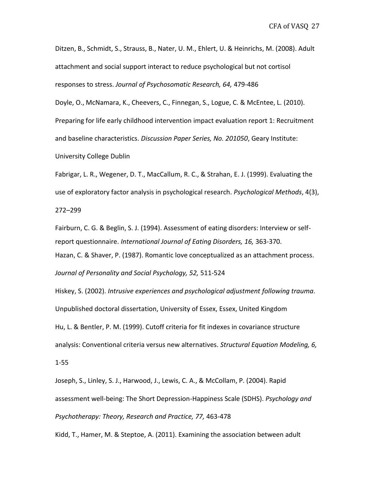Ditzen, B., Schmidt, S., Strauss, B., Nater, U. M., Ehlert, U. & Heinrichs, M. (2008). Adult attachment and social support interact to reduce psychological but not cortisol responses to stress. *Journal of Psychosomatic Research, 64,* 479-486

Doyle, O., McNamara, K., Cheevers, C., Finnegan, S., Logue, C. & McEntee, L. (2010). Preparing for life early childhood intervention impact evaluation report 1: Recruitment and baseline characteristics. *Discussion Paper Series, No. 201050*, Geary Institute: University College Dublin

Fabrigar, L. R., Wegener, D. T., MacCallum, R. C., & Strahan, E. J. (1999). Evaluating the use of exploratory factor analysis in psychological research. *Psychological Methods*, 4(3),

272–299

Fairburn, C. G. & Beglin, S. J. (1994). Assessment of eating disorders: Interview or selfreport questionnaire. *International Journal of Eating Disorders, 16,* 363-370. Hazan, C. & Shaver, P. (1987). Romantic love conceptualized as an attachment process. *Journal of Personality and Social Psychology, 52,* 511-524

Hiskey, S. (2002). *Intrusive experiences and psychological adjustment following trauma*. Unpublished doctoral dissertation, University of Essex, Essex, United Kingdom Hu, L. & Bentler, P. M. (1999). Cutoff criteria for fit indexes in covariance structure analysis: Conventional criteria versus new alternatives. *Structural Equation Modeling, 6,* 1-55

Joseph, S., Linley, S. J., Harwood, J., Lewis, C. A., & McCollam, P. (2004). Rapid assessment well-being: The Short Depression-Happiness Scale (SDHS). *Psychology and Psychotherapy: Theory, Research and Practice, 77,* 463-478

Kidd, T., Hamer, M. & Steptoe, A. (2011). Examining the association between adult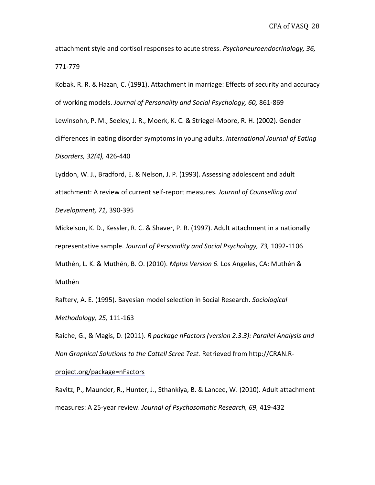attachment style and cortisol responses to acute stress. *Psychoneuroendocrinology, 36,* 771-779

Kobak, R. R. & Hazan, C. (1991). Attachment in marriage: Effects of security and accuracy of working models. *Journal of Personality and Social Psychology, 60,* 861-869 Lewinsohn, P. M., Seeley, J. R., Moerk, K. C. & Striegel-Moore, R. H. (2002). Gender differences in eating disorder symptoms in young adults. *International Journal of Eating Disorders, 32(4),* 426-440

Lyddon, W. J., Bradford, E. & Nelson, J. P. (1993). Assessing adolescent and adult attachment: A review of current self-report measures. *Journal of Counselling and Development, 71,* 390-395

Mickelson, K. D., Kessler, R. C. & Shaver, P. R. (1997). Adult attachment in a nationally representative sample. *Journal of Personality and Social Psychology, 73,* 1092-1106 Muthén, L. K. & Muthén, B. O. (2010). *Mplus Version 6.* Los Angeles, CA: Muthén & Muthén

Raftery, A. E. (1995). Bayesian model selection in Social Research. *Sociological Methodology, 25,* 111-163

Raiche, G., & Magis, D. (2011). *R package nFactors (version 2.3.3): Parallel Analysis and Non Graphical Solutions to the Cattell Scree Test.* Retrieved from [http://CRAN.R-](http://cran.r-project.org/package=nFactors)

[project.org/package=nFactors](http://cran.r-project.org/package=nFactors)

Ravitz, P., Maunder, R., Hunter, J., Sthankiya, B. & Lancee, W. (2010). Adult attachment measures: A 25-year review. *Journal of Psychosomatic Research, 69,* 419-432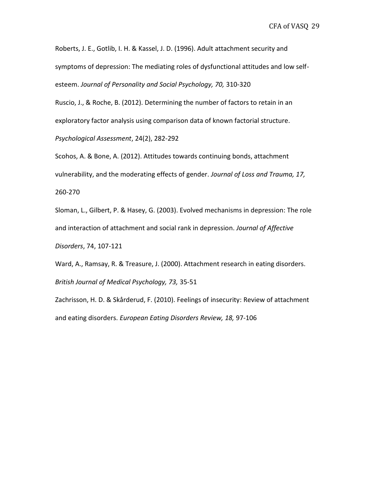Roberts, J. E., Gotlib, I. H. & Kassel, J. D. (1996). Adult attachment security and symptoms of depression: The mediating roles of dysfunctional attitudes and low selfesteem. *Journal of Personality and Social Psychology, 70,* 310-320

Ruscio, J., & Roche, B. (2012). Determining the number of factors to retain in an exploratory factor analysis using comparison data of known factorial structure. *Psychological Assessment*, 24(2), 282-292

Scohos, A. & Bone, A. (2012). Attitudes towards continuing bonds, attachment vulnerability, and the moderating effects of gender. *Journal of Loss and Trauma, 17,* 260-270

Sloman, L., Gilbert, P. & Hasey, G. (2003). Evolved mechanisms in depression: The role and interaction of attachment and social rank in depression. *Journal of Affective* 

*Disorders*, 74, 107-121

Ward, A., Ramsay, R. & Treasure, J. (2000). Attachment research in eating disorders. *British Journal of Medical Psychology, 73,* 35-51

Zachrisson, H. D. & Skårderud, F. (2010). Feelings of insecurity: Review of attachment and eating disorders. *European Eating Disorders Review, 18,* 97-106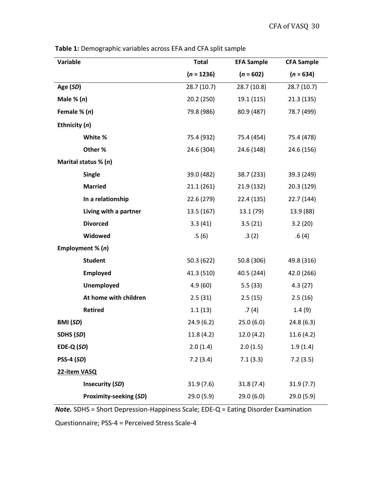| Variable          |                               | <b>Total</b> | <b>EFA Sample</b> | <b>CFA Sample</b> |
|-------------------|-------------------------------|--------------|-------------------|-------------------|
|                   |                               | $(n = 1236)$ | $(n = 602)$       | $(n = 634)$       |
| Age (SD)          |                               | 28.7(10.7)   | 28.7 (10.8)       | 28.7 (10.7)       |
| Male $% (n)$      |                               | 20.2 (250)   | 19.1 (115)        | 21.3(135)         |
| Female $% (n)$    |                               | 79.8 (986)   | 80.9 (487)        | 78.7 (499)        |
| Ethnicity (n)     |                               |              |                   |                   |
|                   | White %                       | 75.4 (932)   | 75.4 (454)        | 75.4 (478)        |
|                   | Other %                       | 24.6 (304)   | 24.6 (148)        | 24.6 (156)        |
|                   | Marital status $% (n)$        |              |                   |                   |
|                   | <b>Single</b>                 | 39.0 (482)   | 38.7 (233)        | 39.3 (249)        |
|                   | <b>Married</b>                | 21.1(261)    | 21.9(132)         | 20.3 (129)        |
|                   | In a relationship             | 22.6 (279)   | 22.4 (135)        | 22.7 (144)        |
|                   | Living with a partner         | 13.5 (167)   | 13.1 (79)         | 13.9 (88)         |
|                   | <b>Divorced</b>               | 3.3(41)      | 3.5(21)           | 3.2(20)           |
|                   | Widowed                       | .5(6)        | .3(2)             | .6(4)             |
| Employment % (n)  |                               |              |                   |                   |
|                   | <b>Student</b>                | 50.3 (622)   | 50.8 (306)        | 49.8 (316)        |
|                   | <b>Employed</b>               | 41.3 (510)   | 40.5 (244)        | 42.0 (266)        |
|                   | <b>Unemployed</b>             | 4.9(60)      | 5.5(33)           | 4.3(27)           |
|                   | At home with children         | 2.5(31)      | 2.5(15)           | 2.5(16)           |
|                   | <b>Retired</b>                | 1.1(13)      | .7(4)             | 1.4(9)            |
| <b>BMI (SD)</b>   |                               | 24.9(6.2)    | 25.0(6.0)         | 24.8(6.3)         |
| SDHS (SD)         |                               | 11.8(4.2)    | 12.0(4.2)         | 11.6(4.2)         |
| EDE-Q (SD)        |                               | 2.0(1.4)     | 2.0(1.5)          | 1.9(1.4)          |
| <b>PSS-4 (SD)</b> |                               | 7.2(3.4)     | 7.1(3.3)          | 7.2(3.5)          |
| 22-item VASQ      |                               |              |                   |                   |
|                   | Insecurity (SD)               | 31.9(7.6)    | 31.8(7.4)         | 31.9(7.7)         |
|                   | <b>Proximity-seeking (SD)</b> | 29.0(5.9)    | 29.0(6.0)         | 29.0(5.9)         |

**Table 1:** Demographic variables across EFA and CFA split sample

*Note.* SDHS = Short Depression-Happiness Scale; EDE-Q = Eating Disorder Examination

Questionnaire; PSS-4 = Perceived Stress Scale-4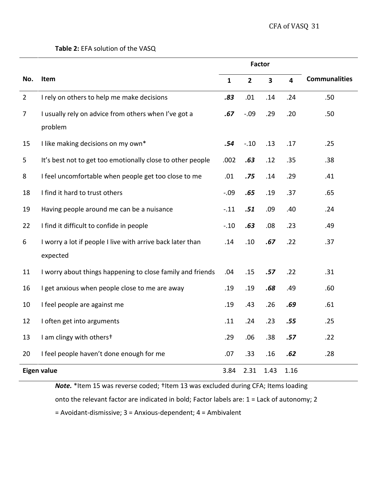| Table 2: EFA solution of the VASQ |  |
|-----------------------------------|--|
|-----------------------------------|--|

|                    |                                                                        | Factor       |                |                         |                         |                      |
|--------------------|------------------------------------------------------------------------|--------------|----------------|-------------------------|-------------------------|----------------------|
| No.                | Item                                                                   | $\mathbf{1}$ | $\overline{2}$ | $\overline{\mathbf{3}}$ | $\overline{\mathbf{4}}$ | <b>Communalities</b> |
| $\overline{2}$     | I rely on others to help me make decisions                             | .83          | .01            | .14                     | .24                     | .50                  |
| $\overline{7}$     | I usually rely on advice from others when I've got a<br>problem        | .67          | $-.09$         | .29                     | .20                     | .50                  |
| 15                 | I like making decisions on my own*                                     | .54          | $-.10$         | .13                     | .17                     | .25                  |
| 5                  | It's best not to get too emotionally close to other people             | .002         | .63            | .12                     | .35                     | .38                  |
| 8                  | I feel uncomfortable when people get too close to me                   | .01          | .75            | .14                     | .29                     | .41                  |
| 18                 | I find it hard to trust others                                         | $-.09$       | .65            | .19                     | .37                     | .65                  |
| 19                 | Having people around me can be a nuisance                              | $-.11$       | .51            | .09                     | .40                     | .24                  |
| 22                 | I find it difficult to confide in people                               | $-.10$       | .63            | .08                     | .23                     | .49                  |
| 6                  | I worry a lot if people I live with arrive back later than<br>expected | .14          | .10            | .67                     | .22                     | .37                  |
| 11                 | I worry about things happening to close family and friends             | .04          | .15            | .57                     | .22                     | .31                  |
| 16                 | I get anxious when people close to me are away                         | .19          | .19            | $.68\,$                 | .49                     | .60                  |
| 10                 | I feel people are against me                                           | .19          | .43            | .26                     | .69                     | .61                  |
| 12                 | I often get into arguments                                             | .11          | .24            | .23                     | .55                     | .25                  |
| 13                 | I am clingy with otherst                                               | .29          | .06            | .38                     | .57                     | .22                  |
| 20                 | I feel people haven't done enough for me                               | .07          | .33            | .16                     | .62                     | .28                  |
| <b>Eigen value</b> |                                                                        |              | 2.31           | 1.43                    | 1.16                    |                      |

*Note.* \*Item 15 was reverse coded; †Item 13 was excluded during CFA; Items loading onto the relevant factor are indicated in bold; Factor labels are: 1 = Lack of autonomy; 2 = Avoidant-dismissive; 3 = Anxious-dependent; 4 = Ambivalent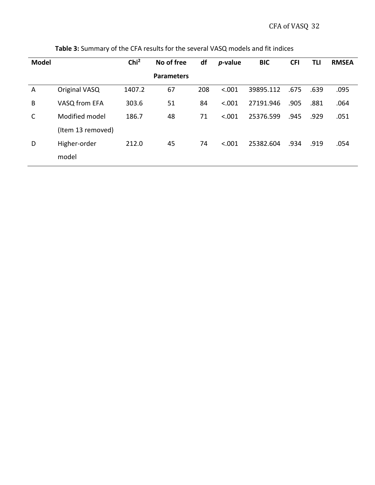| <b>Model</b> |                   | Chi <sup>2</sup> | No of free        | df  | $p$ -value | <b>BIC</b> | <b>CFI</b> | TLI  | <b>RMSEA</b> |
|--------------|-------------------|------------------|-------------------|-----|------------|------------|------------|------|--------------|
|              |                   |                  | <b>Parameters</b> |     |            |            |            |      |              |
| A            | Original VASQ     | 1407.2           | 67                | 208 | < .001     | 39895.112  | .675       | .639 | .095         |
| B            | VASQ from EFA     | 303.6            | 51                | 84  | < .001     | 27191.946  | .905       | .881 | .064         |
| C            | Modified model    | 186.7            | 48                | 71  | < .001     | 25376.599  | .945       | .929 | .051         |
|              | (Item 13 removed) |                  |                   |     |            |            |            |      |              |
| D            | Higher-order      | 212.0            | 45                | 74  | < .001     | 25382.604  | .934       | .919 | .054         |
|              | model             |                  |                   |     |            |            |            |      |              |

**Table 3:** Summary of the CFA results for the several VASQ models and fit indices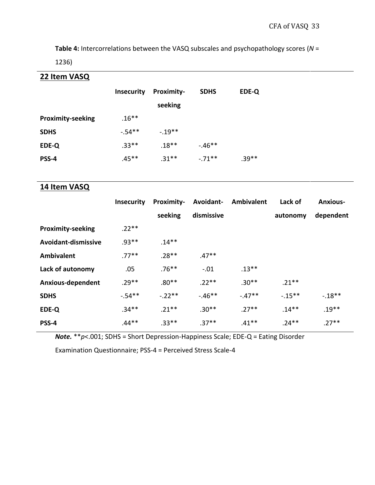**Table 4:** Intercorrelations between the VASQ subscales and psychopathology scores (*N* =

1236)

**22 Item VASQ**

| <b>Insecurity</b> | <b>Proximity-</b><br>seeking | <b>SDHS</b> | EDE-Q   |
|-------------------|------------------------------|-------------|---------|
| $.16***$          |                              |             |         |
| $-.54**$          | $-.19***$                    |             |         |
| $.33**$           | $.18**$                      | $-46**$     |         |
| .45**             | $.31**$                      | $-.71**$    | $.39**$ |
|                   |                              |             |         |

## **14 Item VASQ**

|                          | <b>Insecurity</b> | <b>Proximity-</b> | Avoidant-  | <b>Ambivalent</b> | Lack of   | <b>Anxious-</b> |
|--------------------------|-------------------|-------------------|------------|-------------------|-----------|-----------------|
|                          |                   | seeking           | dismissive |                   | autonomy  | dependent       |
| <b>Proximity-seeking</b> | $.22**$           |                   |            |                   |           |                 |
| Avoidant-dismissive      | $.93**$           | $.14***$          |            |                   |           |                 |
| <b>Ambivalent</b>        | $.77***$          | $.28**$           | $.47**$    |                   |           |                 |
| Lack of autonomy         | .05               | $.76***$          | $-.01$     | $.13***$          |           |                 |
| <b>Anxious-dependent</b> | $.29**$           | $.80**$           | $.22**$    | $.30**$           | $.21***$  |                 |
| <b>SDHS</b>              | $-.54**$          | $-.22**$          | $-.46**$   | $-.47**$          | $-.15***$ | $-18**$         |
| EDE-Q                    | $.34**$           | $.21***$          | $.30**$    | $.27**$           | $.14**$   | $.19**$         |
| PSS-4                    | $.44**$           | $.33**$           | $.37**$    | $.41**$           | $.24**$   | $.27**$         |

*Note.* \*\**p*<.001; SDHS = Short Depression-Happiness Scale; EDE-Q = Eating Disorder

Examination Questionnaire; PSS-4 = Perceived Stress Scale-4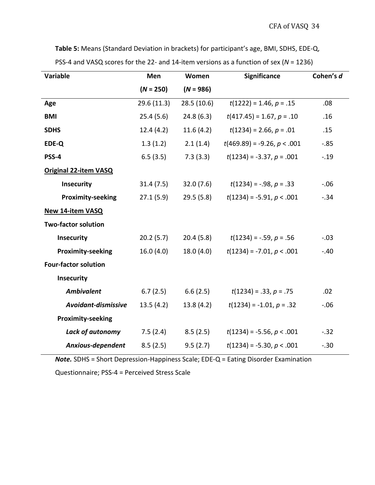**Table 5:** Means (Standard Deviation in brackets) for participant's age, BMI, SDHS, EDE-Q,

| Variable                     | Men         | Women       | <b>Significance</b>           | Cohen's d |  |
|------------------------------|-------------|-------------|-------------------------------|-----------|--|
|                              | $(N = 250)$ | $(N = 986)$ |                               |           |  |
| Age                          | 29.6 (11.3) | 28.5 (10.6) | $t(1222) = 1.46, p = .15$     | .08       |  |
| <b>BMI</b>                   | 25.4(5.6)   | 24.8(6.3)   | $t(417.45) = 1.67, p = .10$   | .16       |  |
| <b>SDHS</b>                  | 12.4(4.2)   | 11.6(4.2)   | $t(1234) = 2.66, p = .01$     | .15       |  |
| EDE-Q                        | 1.3(1.2)    | 2.1(1.4)    | $t(469.89) = -9.26, p < .001$ | $-0.85$   |  |
| PSS-4                        | 6.5(3.5)    | 7.3(3.3)    | $t(1234) = -3.37, p = .001$   | $-.19$    |  |
| <b>Original 22-item VASQ</b> |             |             |                               |           |  |
| <b>Insecurity</b>            | 31.4(7.5)   | 32.0(7.6)   | $t(1234) = -.98, p = .33$     | $-.06$    |  |
| <b>Proximity-seeking</b>     | 27.1(5.9)   | 29.5(5.8)   | $t(1234) = -5.91, p < .001$   | $-.34$    |  |
| New 14-item VASQ             |             |             |                               |           |  |
| <b>Two-factor solution</b>   |             |             |                               |           |  |
| <b>Insecurity</b>            | 20.2(5.7)   | 20.4(5.8)   | $t(1234) = -.59, p = .56$     | $-.03$    |  |
| <b>Proximity-seeking</b>     | 16.0(4.0)   | 18.0(4.0)   | $t(1234) = -7.01, p < .001$   | $-.40$    |  |
| <b>Four-factor solution</b>  |             |             |                               |           |  |
| Insecurity                   |             |             |                               |           |  |
| <b>Ambivalent</b>            | 6.7(2.5)    | 6.6(2.5)    | $t(1234) = .33, p = .75$      | .02       |  |
| Avoidant-dismissive          | 13.5(4.2)   | 13.8(4.2)   | $t(1234) = -1.01, p = .32$    | $-.06$    |  |
| <b>Proximity-seeking</b>     |             |             |                               |           |  |
| Lack of autonomy             | 7.5(2.4)    | 8.5(2.5)    | $t(1234) = -5.56, p < .001$   | $-.32$    |  |
| Anxious-dependent            | 8.5(2.5)    | 9.5(2.7)    | $t(1234) = -5.30, p < .001$   | $-.30$    |  |

PSS-4 and VASQ scores for the 22- and 14-item versions as a function of sex (*N* = 1236)

*Note.* SDHS = Short Depression-Happiness Scale; EDE-Q = Eating Disorder Examination

Questionnaire; PSS-4 = Perceived Stress Scale